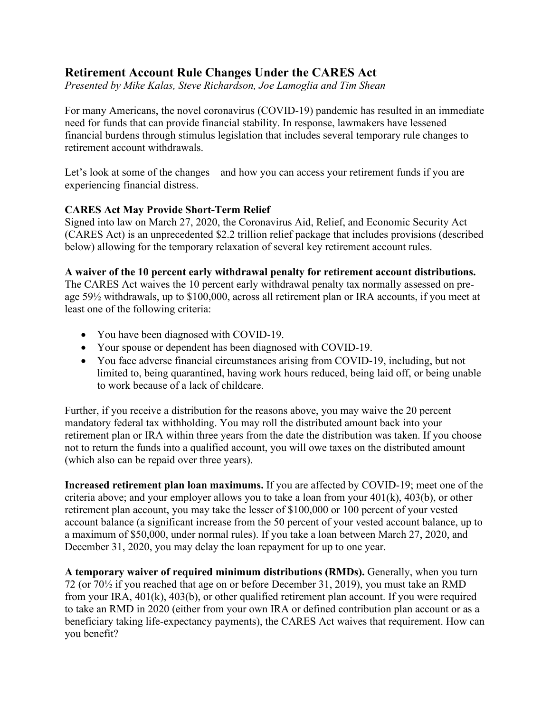# **Retirement Account Rule Changes Under the CARES Act**

*Presented by Mike Kalas, Steve Richardson, Joe Lamoglia and Tim Shean*

For many Americans, the novel coronavirus (COVID-19) pandemic has resulted in an immediate need for funds that can provide financial stability. In response, lawmakers have lessened financial burdens through stimulus legislation that includes several temporary rule changes to retirement account withdrawals.

Let's look at some of the changes—and how you can access your retirement funds if you are experiencing financial distress.

## **CARES Act May Provide Short-Term Relief**

Signed into law on March 27, 2020, the Coronavirus Aid, Relief, and Economic Security Act (CARES Act) is an unprecedented \$2.2 trillion relief package that includes provisions (described below) allowing for the temporary relaxation of several key retirement account rules.

## **A waiver of the 10 percent early withdrawal penalty for retirement account distributions.**

The CARES Act waives the 10 percent early withdrawal penalty tax normally assessed on preage 59½ withdrawals, up to \$100,000, across all retirement plan or IRA accounts, if you meet at least one of the following criteria:

- You have been diagnosed with COVID-19.
- Your spouse or dependent has been diagnosed with COVID-19.
- You face adverse financial circumstances arising from COVID-19, including, but not limited to, being quarantined, having work hours reduced, being laid off, or being unable to work because of a lack of childcare.

Further, if you receive a distribution for the reasons above, you may waive the 20 percent mandatory federal tax withholding. You may roll the distributed amount back into your retirement plan or IRA within three years from the date the distribution was taken. If you choose not to return the funds into a qualified account, you will owe taxes on the distributed amount (which also can be repaid over three years).

**Increased retirement plan loan maximums.** If you are affected by COVID-19; meet one of the criteria above; and your employer allows you to take a loan from your  $401(k)$ ,  $403(b)$ , or other retirement plan account, you may take the lesser of \$100,000 or 100 percent of your vested account balance (a significant increase from the 50 percent of your vested account balance, up to a maximum of \$50,000, under normal rules). If you take a loan between March 27, 2020, and December 31, 2020, you may delay the loan repayment for up to one year.

**A temporary waiver of required minimum distributions (RMDs).** Generally, when you turn 72 (or 70½ if you reached that age on or before December 31, 2019), you must take an RMD from your IRA, 401(k), 403(b), or other qualified retirement plan account. If you were required to take an RMD in 2020 (either from your own IRA or defined contribution plan account or as a beneficiary taking life-expectancy payments), the CARES Act waives that requirement. How can you benefit?